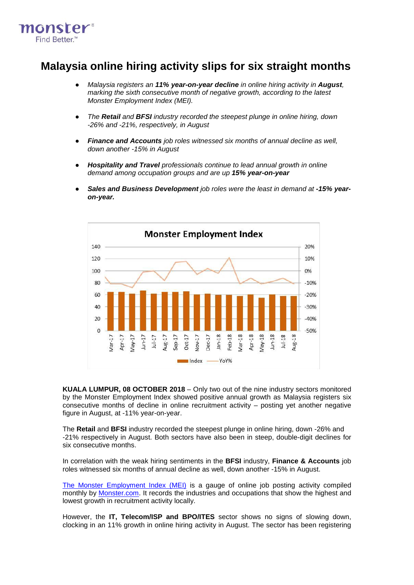

## **Malaysia online hiring activity slips for six straight months**

- *Malaysia registers an 11% year-on-year decline in online hiring activity in August, marking the sixth consecutive month of negative growth, according to the latest Monster Employment Index (MEI).*
- *The Retail and BFSI industry recorded the steepest plunge in online hiring, down -26% and -21%, respectively, in August*
- *Finance and Accounts job roles witnessed six months of annual decline as well, down another -15% in August*
- *Hospitality and Travel professionals continue to lead annual growth in online demand among occupation groups and are up 15% year-on-year*
- *Sales and Business Development job roles were the least in demand at -15% yearon-year.*



**KUALA LUMPUR, 08 OCTOBER 2018** – Only two out of the nine industry sectors monitored by the Monster Employment Index showed positive annual growth as Malaysia registers six consecutive months of decline in online recruitment activity – posting yet another negative figure in August, at -11% year-on-year.

The **Retail** and **BFSI** industry recorded the steepest plunge in online hiring, down -26% and -21% respectively in August. Both sectors have also been in steep, double-digit declines for six consecutive months.

In correlation with the weak hiring sentiments in the **BFSI** industry, **Finance & Accounts** job roles witnessed six months of annual decline as well, down another -15% in August.

[The Monster Employment Index \(MEI\)](http://www.monster.com.my/employment-index/) is a gauge of online job posting activity compiled monthly by [Monster.com.](http://www.monster.com.my/) It records the industries and occupations that show the highest and lowest growth in recruitment activity locally.

However, the **IT, Telecom/ISP and BPO/ITES** sector shows no signs of slowing down, clocking in an 11% growth in online hiring activity in August. The sector has been registering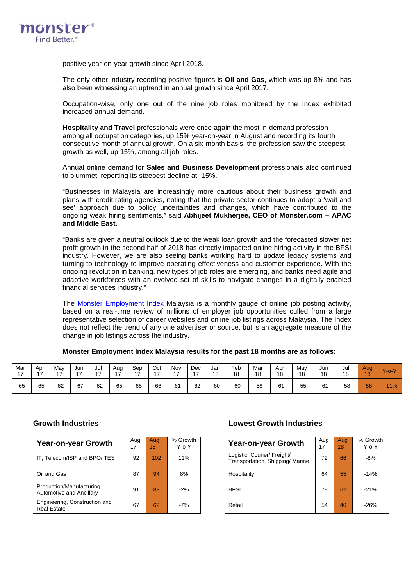

positive year-on-year growth since April 2018.

The only other industry recording positive figures is **Oil and Gas**, which was up 8% and has also been witnessing an uptrend in annual growth since April 2017.

Occupation-wise, only one out of the nine job roles monitored by the Index exhibited increased annual demand.

**Hospitality and Travel** professionals were once again the most in-demand profession among all occupation categories, up 15% year-on-year in August and recording its fourth consecutive month of annual growth. On a six-month basis, the profession saw the steepest growth as well, up 15%, among all job roles.

Annual online demand for **Sales and Business Development** professionals also continued to plummet, reporting its steepest decline at -15%.

"Businesses in Malaysia are increasingly more cautious about their business growth and plans with credit rating agencies, noting that the private sector continues to adopt a 'wait and see' approach due to policy uncertainties and changes, which have contributed to the ongoing weak hiring sentiments," said **Abhijeet Mukherjee, CEO of Monster.com – APAC and Middle East.**

"Banks are given a neutral outlook due to the weak loan growth and the forecasted slower net profit growth in the second half of 2018 has directly impacted online hiring activity in the BFSI industry. However, we are also seeing banks working hard to update legacy systems and turning to technology to improve operating effectiveness and customer experience. With the ongoing revolution in banking, new types of job roles are emerging, and banks need agile and adaptive workforces with an evolved set of skills to navigate changes in a digitally enabled financial services industry."

The [Monster Employment Index](http://www.monster.com.my/employment-index/) Malaysia is a monthly gauge of online job posting activity, based on a real-time review of millions of employer job opportunities culled from a large representative selection of career websites and online job listings across Malaysia. The Index does not reflect the trend of any one advertiser or source, but is an aggregate measure of the change in job listings across the industry.

**Monster Employment Index Malaysia results for the past 18 months are as follows:**

| Mar<br>$\overline{ }$ | Apr<br>$\rightarrow$ | May<br>. – | Jun<br>$\overline{\phantom{a}}$ | Jul<br>$\rightarrow$ | Aug<br>47 | Sep<br>$\overline{ }$ | Oct<br>. – | Nov<br>$\rightarrow$ | Dec<br>$\overline{ }$ | Jan<br>18 | Feb<br>18 | Mar<br>18 | Apr<br>18 | May<br>18 | Jun<br>18 | Jul<br>18 | Aug<br>18 | $Y$ -0-      |
|-----------------------|----------------------|------------|---------------------------------|----------------------|-----------|-----------------------|------------|----------------------|-----------------------|-----------|-----------|-----------|-----------|-----------|-----------|-----------|-----------|--------------|
| 65                    | 65                   | 62         | 67                              | 62                   | 65        | 65                    | 66         | 61                   | 62                    | 60        | 60        | 58        | 61        | 55        | 61        | 58        | 58        | 11%<br>a ser |

| Year-on-year Growth                                   | Aug<br>17 | Aua<br>18 | % Growth<br>Y-o-Y |  | Year-on-year Growth                                            | Aug | Aug<br>18 | % Grov<br>Y-o-Y |
|-------------------------------------------------------|-----------|-----------|-------------------|--|----------------------------------------------------------------|-----|-----------|-----------------|
| IT, Telecom/ISP and BPO/ITES                          | 92        | 102       | 11%               |  | Logistic, Courier/ Freight/<br>Transportation, Shipping/Marine | 72  | 66        | $-8%$           |
| Oil and Gas                                           | 87        | 94        | 8%                |  | Hospitality                                                    | 64  | 55        | $-14%$          |
| Production/Manufacturing,<br>Automotive and Ancillary | 91        | 89        | $-2%$             |  | <b>BFSI</b>                                                    | 78  | 62        | $-21%$          |
| Engineering, Construction and<br><b>Real Estate</b>   | 67        | 62        | $-7%$             |  | Retail                                                         | 54  | 40        | $-26%$          |

### **Growth Industries Lowest Growth Industries**

| Growth<br>Y-o-Y | Year-on-year Growth                                             | Aug<br>17 | Aug<br>18 | % Growth<br>$Y$ -o- $Y$ |
|-----------------|-----------------------------------------------------------------|-----------|-----------|-------------------------|
| 11%             | Logistic, Courier/ Freight/<br>Transportation, Shipping/ Marine | 72        | 66        | $-8%$                   |
| 8%              | Hospitality                                                     | 64        | 55        | $-14%$                  |
| $-2%$           | <b>BFSI</b>                                                     | 78        | 62        | $-21%$                  |
| $-7%$           | Retail                                                          | 54        | 40        | $-26%$                  |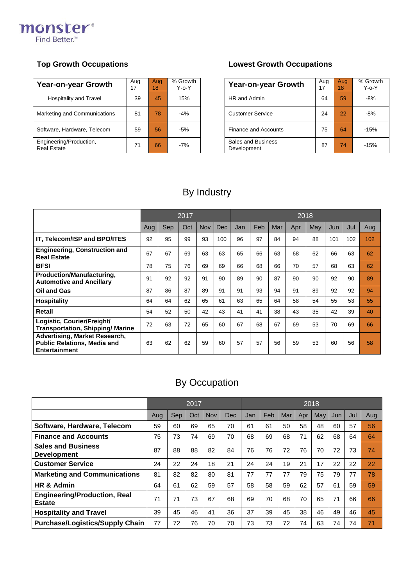

| Year-on-year Growth                           | Aug<br>17 | Aug<br>18 | % Growth<br>Y-o-Y |  | <b>Year-on-year Growth</b>        | Aug<br>17 | Aug<br>18 | % Grov<br>$Y$ -o- $Y$ |
|-----------------------------------------------|-----------|-----------|-------------------|--|-----------------------------------|-----------|-----------|-----------------------|
| Hospitality and Travel                        | 39        | 45        | 15%               |  | HR and Admin                      | 64        | 59        | $-8%$                 |
| Marketing and Communications                  | 81        | 78        | $-4%$             |  | <b>Customer Service</b>           | 24        | 22        | $-8%$                 |
| Software, Hardware, Telecom                   | 59        | 56        | $-5%$             |  | <b>Finance and Accounts</b>       | 75        | 64        | $-15%$                |
| Engineering/Production,<br><b>Real Estate</b> | 71        | 66        | $-7%$             |  | Sales and Business<br>Development | 87        | 74        | $-15%$                |

### **Top Growth Occupations Lowest Growth Occupations**

| Growth<br>Y-o-Y | <b>Year-on-year Growth</b>        | Aug<br>17 | Aug<br>18 | % Growth<br>$Y$ -o- $Y$ |
|-----------------|-----------------------------------|-----------|-----------|-------------------------|
| 15%             | HR and Admin                      | 64        | 59        | $-8%$                   |
| $-4%$           | <b>Customer Service</b>           | 24        | 22        | $-8%$                   |
| $-5%$           | <b>Finance and Accounts</b>       | 75        | 64        | $-15%$                  |
| $-7%$           | Sales and Business<br>Development | 87        | 74        | $-15%$                  |

## By Industry

|                                                                                             |     | 2017 |     |            |            |     | 2018 |     |     |     |     |     |     |  |  |
|---------------------------------------------------------------------------------------------|-----|------|-----|------------|------------|-----|------|-----|-----|-----|-----|-----|-----|--|--|
|                                                                                             | Aug | Sep  | Oct | <b>Nov</b> | <b>Dec</b> | Jan | Feb  | Mar | Apr | May | Jun | Jul | Aug |  |  |
| <b>IT. Telecom/ISP and BPO/ITES</b>                                                         | 92  | 95   | 99  | 93         | 100        | 96  | 97   | 84  | 94  | 88  | 101 | 102 | 102 |  |  |
| <b>Engineering, Construction and</b><br><b>Real Estate</b>                                  | 67  | 67   | 69  | 63         | 63         | 65  | 66   | 63  | 68  | 62  | 66  | 63  | 62  |  |  |
| <b>BFSI</b>                                                                                 | 78  | 75   | 76  | 69         | 69         | 66  | 68   | 66  | 70  | 57  | 68  | 63  | 62  |  |  |
| Production/Manufacturing,<br><b>Automotive and Ancillary</b>                                | 91  | 92   | 92  | 91         | 90         | 89  | 90   | 87  | 90  | 90  | 92  | 90  | 89  |  |  |
| <b>Oil and Gas</b>                                                                          | 87  | 86   | 87  | 89         | 91         | 91  | 93   | 94  | 91  | 89  | 92  | 92  | 94  |  |  |
| <b>Hospitality</b>                                                                          | 64  | 64   | 62  | 65         | 61         | 63  | 65   | 64  | 58  | 54  | 55  | 53  | 55  |  |  |
| Retail                                                                                      | 54  | 52   | 50  | 42         | 43         | 41  | 41   | 38  | 43  | 35  | 42  | 39  | 40  |  |  |
| Logistic, Courier/Freight/<br><b>Transportation, Shipping/Marine</b>                        | 72  | 63   | 72  | 65         | 60         | 67  | 68   | 67  | 69  | 53  | 70  | 69  | 66  |  |  |
| Advertising, Market Research,<br><b>Public Relations, Media and</b><br><b>Entertainment</b> | 63  | 62   | 62  | 59         | 60         | 57  | 57   | 56  | 59  | 53  | 60  | 56  | 58  |  |  |

# By Occupation

|                                                      | 2017 |     |     |            |     |     | 2018 |     |     |     |     |     |     |  |  |
|------------------------------------------------------|------|-----|-----|------------|-----|-----|------|-----|-----|-----|-----|-----|-----|--|--|
|                                                      | Aug  | Sep | Oct | <b>Nov</b> | Dec | Jan | Feb  | Mar | Apr | May | Jun | Jul | Aug |  |  |
| Software, Hardware, Telecom                          | 59   | 60  | 69  | 65         | 70  | 61  | 61   | 50  | 58  | 48  | 60  | 57  | 56  |  |  |
| <b>Finance and Accounts</b>                          | 75   | 73  | 74  | 69         | 70  | 68  | 69   | 68  | 71  | 62  | 68  | 64  | 64  |  |  |
| <b>Sales and Business</b><br><b>Development</b>      | 87   | 88  | 88  | 82         | 84  | 76  | 76   | 72  | 76  | 70  | 72  | 73  | 74  |  |  |
| <b>Customer Service</b>                              | 24   | 22  | 24  | 18         | 21  | 24  | 24   | 19  | 21  | 17  | 22  | 22  | 22  |  |  |
| <b>Marketing and Communications</b>                  | 81   | 82  | 82  | 80         | 81  | 77  | 77   | 77  | 79  | 75  | 79  | 77  | 78  |  |  |
| HR & Admin                                           | 64   | 61  | 62  | 59         | 57  | 58  | 58   | 59  | 62  | 57  | 61  | 59  | 59  |  |  |
| <b>Engineering/Production, Real</b><br><b>Estate</b> | 71   | 71  | 73  | 67         | 68  | 69  | 70   | 68  | 70  | 65  | 71  | 66  | 66  |  |  |
| <b>Hospitality and Travel</b>                        | 39   | 45  | 46  | 41         | 36  | 37  | 39   | 45  | 38  | 46  | 49  | 46  | 45  |  |  |
| <b>Purchase/Logistics/Supply Chain</b>               | 77   | 72  | 76  | 70         | 70  | 73  | 73   | 72  | 74  | 63  | 74  | 74  | 71  |  |  |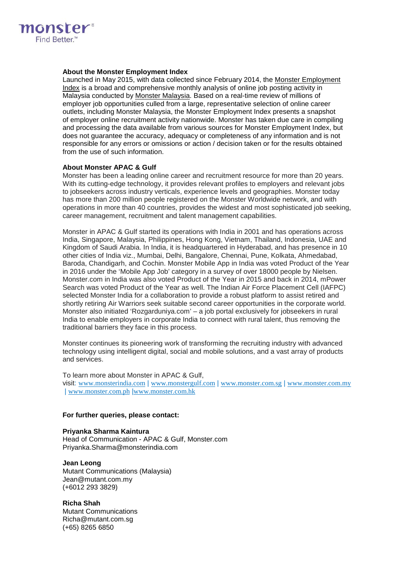

### **About the Monster Employment Index**

Launched in May 2015, with data collected since February 2014, the [Monster Employment](http://www.monster.com.my/employment-index/)  [Index](http://www.monster.com.my/employment-index/) is a broad and comprehensive monthly analysis of online job posting activity in Malaysia conducted by [Monster Malaysia.](http://www.monster.com.my/) Based on a real-time review of millions of employer job opportunities culled from a large, representative selection of online career outlets, including Monster Malaysia, the Monster Employment Index presents a snapshot of employer online recruitment activity nationwide. Monster has taken due care in compiling and processing the data available from various sources for Monster Employment Index, but does not guarantee the accuracy, adequacy or completeness of any information and is not responsible for any errors or omissions or action / decision taken or for the results obtained from the use of such information.

### **About Monster APAC & Gulf**

Monster has been a leading online career and recruitment resource for more than 20 years. With its cutting-edge technology, it provides relevant profiles to employers and relevant jobs to jobseekers across industry verticals, experience levels and geographies. Monster today has more than 200 million people registered on the Monster Worldwide network, and with operations in more than 40 countries, provides the widest and most sophisticated job seeking, career management, recruitment and talent management capabilities.

Monster in APAC & Gulf started its operations with India in 2001 and has operations across India, Singapore, Malaysia, Philippines, Hong Kong, Vietnam, Thailand, Indonesia, UAE and Kingdom of Saudi Arabia. In India, it is headquartered in Hyderabad, and has presence in 10 other cities of India viz., Mumbai, Delhi, Bangalore, Chennai, Pune, Kolkata, Ahmedabad, Baroda, Chandigarh, and Cochin. Monster Mobile App in India was voted Product of the Year in 2016 under the 'Mobile App Job' category in a survey of over 18000 people by Nielsen. Monster.com in India was also voted Product of the Year in 2015 and back in 2014, mPower Search was voted Product of the Year as well. The Indian Air Force Placement Cell (IAFPC) selected Monster India for a collaboration to provide a robust platform to assist retired and shortly retiring Air Warriors seek suitable second career opportunities in the corporate world. Monster also initiated 'Rozgarduniya.com' – a job portal exclusively for jobseekers in rural India to enable employers in corporate India to connect with rural talent, thus removing the traditional barriers they face in this process.

Monster continues its pioneering work of transforming the recruiting industry with advanced technology using intelligent digital, social and mobile solutions, and a vast array of products and services.

To learn more about Monster in APAC & Gulf, visit: [www.monsterindia.com](http://www.monsterindia.com/) | [www.monstergulf.com](http://www.monstergulf.com/) | [www.monster.com.sg](http://www.monster.com.sg/) | [www.monster.com.my](http://www.monster.com.my/) | [www.monster.com.ph](http://www.monster.com.ph/) |[www.monster.com.hk](http://www.monster.com.hk/)

#### **For further queries, please contact:**

### **Priyanka Sharma Kaintura** Head of Communication - APAC & Gulf, Monster.com [Priyanka.Sharma@monsterindia.com](mailto:Priyanka.Sharma@monsterindia.com)

**Jean Leong** Mutant Communications (Malaysia) Jean@mutant.com.my (+6012 293 3829)

**Richa Shah** Mutant Communications [Richa@mutant.com.sg](mailto:Richa@mutant.com.sg) (+65) 8265 6850